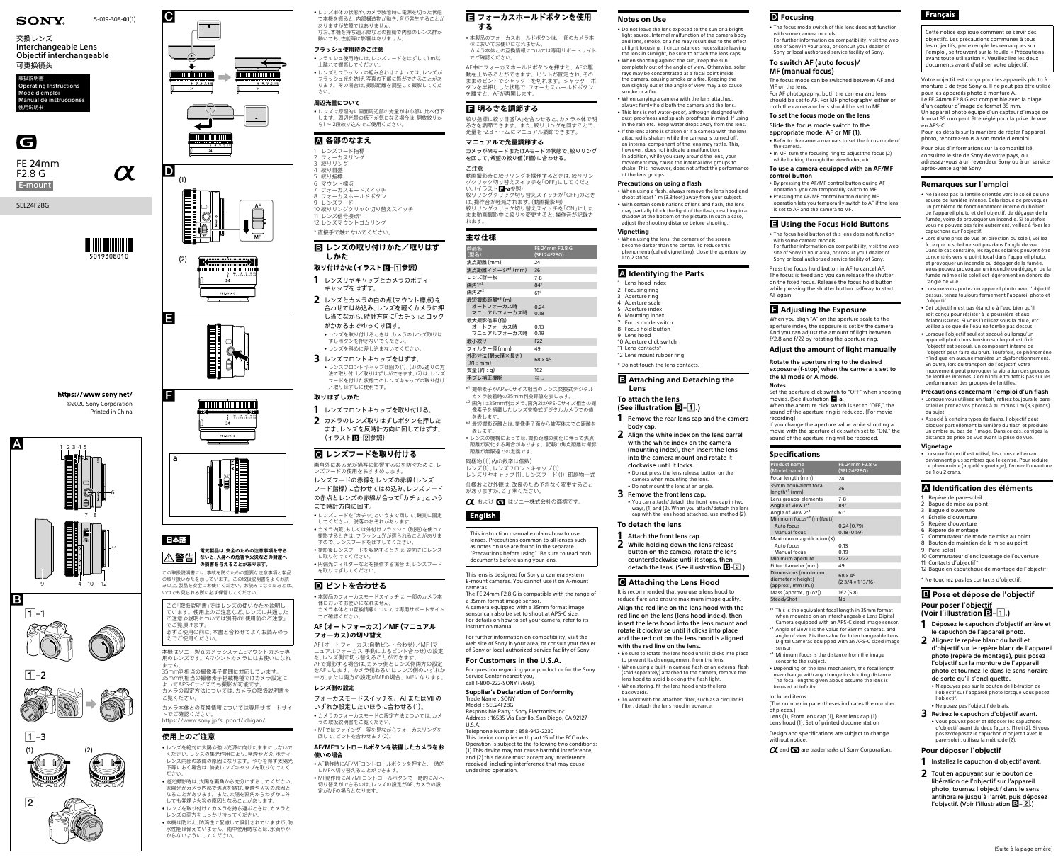a



# 日本語















#### **電気製品は、安全のための注意事項を守ら** |△警告| **ないと、人身への危害や火災などの財産へ の損害を与えることがあります。**

この取扱説明書には、事故を防ぐための重要な注意事項と製品 の取り扱いかたを示しています。この取扱説明書をよくお読 みの上、製品を安全にお使いください。お読みになったあとは、 いつでも見られる所に必ず保管してください。

この「取扱説明書」ではレンズの使いかたを説明し ています。使用上のご注意など、レンズに共通した ご注意や説明については別冊の「使用前のご注意」 でご覧頂けます。 必ずご使用の前に、本書と合わせてよくお読みのう

えでご使用ください。

本機はソニー製αカメラシステムEマウントカメラ専 用のレンズです。Aマウントカメラにはお使いになれ ません。

35mm判相当の撮像素子範囲に対応しています。 35mm判相当の撮像素子搭載機種ではカメラ設定に よってAPS-Cサイズでも撮影が可能です。 カメラの設定方法については、カメラの取扱説明書を ご覧ください。

カメラ本体との互換情報については専用サポートサイ トでご確認ください。

<https://www.sony.jp/support/ichigan/>

## **使用上のご注意**

- • レンズを絶対に太陽や強い光源に向けたままにしないで ください レンズの隼光作用により 発煙や火災 ボディ レンズ内部の故障の原因になります。やむを得ず太陽光 下等におく場合は、前後レンズキャップを取り付けてく ださい。
- • 逆光撮影時は、太陽を画角から充分にずらしてください。 太陽光がカメラ内部で焦点を結び、発煙や火災の原因と なることがあります。また、太陽を画角からわずかに外 しても発煙や火災の原因となることがあります。
- • レンズを取り付けてカメラを持ち運ぶときは、カメラと レンズの両方をしっかり持ってください。
- • 本機は防じん、防滴性に配慮して設計されていますが、防 水性能は備えていません。雨中使用時などは、水滴がか からないようにしてください。
- **1** レンズフロントキャップを取り付ける。 **2** カメラのレンズ取りはずしボタンを押した
- まま、レンズを反時計方向に回してはずす。 (イラストB-2参照)

# **<b>***G* レンズフードを取り付ける

- • レンズ単体の状態や、カメラ装着時に電源を切った状態 で本機を振ると、内部構造物が動き、音が発生することが ありますが故障ではありません。
- なお、本機を持ち運ぶ際などの振動で内部のレンズ群が 動いても、性能等に影響はありません。
- **フラッシュ使用時のご注意** • フラッシュ使用時には、レンズフードをはずして1 m以
- 上離れて撮影してください。 • レンズとフラッシュの組み合わせによっては、レンズが
- フラッシュ光を妨げ、写真の下部に影ができることがあ ります。その場合は、撮影距離を調整して撮影してくだ さい。

## **周辺光量について**

#### 回して、ピントを合わせます(2). **AF/MFコントロールボタンを装備したカメラをお**

• レンズは原理的に画面周辺部の光量が中心部に比べ低下 します。周辺光量の低下が気になる場合は、開放絞りか ら1 ~ 2段絞り込んでご使用ください。

# **各部のなまえ**

- 1 レンズフード指標 2 フォーカスリング
- 3 絞りリング 4 絞り目盛
- 5 絞り指標
- 6 マウント標点 フォーカスモードスイッチ
- 8 フォーカスホールドボタン 9 レンズフード
- 10 絞りリングクリック切り替えスイッチ
- 11 レンズ信号接点\* 12 レンズマウントゴムリング
- \* 直接手で触れないでください。

# **レンズの取り付けかた/取りはず**

#### **しかた 取り付けかた(イラスト–参照)**

- **1** レンズリヤキャップとカメラのボディ キャップをはずす。
- **2** レンズとカメラの白の点(マウント標点)を 合わせてはめ込み、レンズを軽くカメラに押 し当てながら、時計方向に「カチッ」とロック がかかるまでゆっくり回す。
- • レンズを取り付けるときは、カメラのレンズ取りは ずしボタンを押さないでください。
- • レンズを斜めに差し込まないでください。
- **3** レンズフロントキャップをはずす。 • レンズフロントキャップは図の(1)、(2)の2通りの方 法で取り付け/取りはずしができます。(2)は、レンズ フードを付けた状態でのレンズキャップの取り付け /取りはずしに便利です。

\*1 撮像素子がAPS-Cサイズ相当のレンズ交換式デジタル カメラ装着時の35mm判換算値を表します。

# **取りはずしかた**

- \*<sup>2</sup> 画角1は35mm判カメラ、画角2はAPS-Cサイズ相当の撮 像素子を搭載したレンズ交換式デジタルカメラでの値 を表します。
- \*<sup>3</sup> 最短撮影距離とは、撮像素子面から被写体までの距離を • レンズの機構によっては、撮影距離の変化に伴って焦点
- 距離が変化する場合があります。記載の焦点距離は撮影 距離が無限遠での定義です。
- 同梱物(( )内の数字は個数) レンズ(1)、レンズフロントキャップ(1)、 レンズリヤキャップ(1)、レンズフード(1)、印刷物一式
- 仕様および外観は、改良のため予告なく変更すること がありますが、ご了承ください。

## ○ および ■ はソニー株式会社の商標です。

# English

画角外にある光が描写に影響するのを防ぐために、レ ンズフードの使用をおすすめします。

#### This lens is designed for Sony  $\alpha$  camera system E-mount cameras. You cannot use it on A-mount cameras.

- レンズフードの赤線をレンズの赤線(レンズ
- フード指標)に合わせてはめ込み、レンズフード の赤点とレンズの赤線が合って「カチッ」という まで時計方向に回す。
- • レンズフードを「カチッ」というまで回して、確実に固定
- してください。脱落のおそれがあります。
- • カメラ内蔵、もしくは外付けフラッシュ(別売)を使って 撮影するときは、フラッシュ光が遮られることがありま
- すので、レンズフードをはずしてください。 ●撮影後レンズフードを収納するときは、逆向きにレンズ
- に取り付けてください。 ● 円偏光フィルターなどを操作する場合は、レンズフード を取りはずしてください。

For further information on compatibility, visit the web site of Sony in your area, or consult your dealer rvice facility of Sony

# **ピントを合わせる**

- • 本製品のフォーカスモードスイッチは、一部のカメラ本 体においてお使いになれません。 カメラ本体との互換情報については専用サポートサイト
- でご確認ください。

## **AF(オートフォーカス)/MF(マニュアル フォーカス)の切り替え**

AF(オートフォーカス:自動ピント合わせ)/MF(マ コス:手動によるビント合わせ)の設定 を、レンズ側で切り替えることができます。

AFで撮影する場合は、カメラ側とレンズ側両方の設定 をAFにします。カメラ側あるいはレンズ側のいずれか 一方、または両方の設定がMFの場合、MFになります。

# **レンズ側の設定**

- フォーカスモードスイッチを、AFまたはMFの
- いずれか設定したいほうに合わせる(1)。 • カメラのフォーカスモードの設定方法については、カメ
- ラの取扱説明書をご覧ください。 • MFではファインダー等を見ながらフォーカスリングを

- **使いの場合** • AF動作時にAF/MFコントロールボタンを押すと、一時的
- にMFへ切り替えることができます。 • MF動作時にAF/MFコントロールボタンで一時的にAFへ
- 切り替えができるのは、レンズの設定がAF、カメラの設 定がMFの場合となります。

# **フォーカスホールドボタンを使用 する**

- • 本製品のフォーカスホールドボタンは、一部のカメラ本 体においてお使いになれません。 カメラ本体との互換情報については専用サポートサイト でご確認ください。
- AF中にフォーカスホールドボタンを押すと、AFの駆 動を止めることができます。ピントが固定され、その ーループフェール。コード。コルコルマーバ<br>ままのピントでシャッターを切れます。シャッターボ タンを半押しした状態で、フォーカスホールドボタン を離すと、AFが再開します。

## **明るさを調節する**

絞り指標に絞り目盛「A」を合わせると、カメラ本体で明 るさを調節できます。また、絞りリングを回すことで、 光量をF2.8 ~ F22にマニュアル調節できます。

#### **マニュアルで光量調節する** カメラがMモードまたはAモードの状態で、絞りリング を回して、希望の絞り値(F値)に合わせる。

ご注意 動画撮影時に絞りリングを操作するときは、絞りリン グクリック切り替えスイッチを「OFF」にしてくださ い。(イラスト**-a**参照)

絞りリングクリック切り替えスイッチが「OFF」のとき は、操作音が軽減されます。(動画撮影用) 絞りリングクリック切り替えスイッチを「ON」にした まま動画撮影中に絞りを変更すると、操作音が記録さ れます。

## **主な仕様**

| 商品名<br>(型名)                 | FE 24mm F2.8 G<br>(SEL24F28G) |
|-----------------------------|-------------------------------|
|                             |                               |
| 焦点距離(mm)                    | 24                            |
| 焦点距離イメージ* <sup>1</sup> (mm) | 36                            |
| レンズ群一枚                      | $7 - 8$                       |
| 画角1* <sup>2</sup>           | $84^\circ$                    |
| 画角2*2                       | $61^\circ$                    |
| 最短撮影距離* <sup>3</sup> (m)    |                               |
| オートフォーカス時                   | 0.24                          |
| マニュアルフォーカス時                 | 0.18                          |
| 最大撮影倍率(倍)                   |                               |
| オートフォーカス時                   | 0.13                          |
| マニュアルフォーカス時                 | 0.19                          |
| 最小絞り                        | F <sub>22</sub>               |
| フィルター径(mm)                  | 49                            |
| 外形寸法(最大径×長さ)<br>(m:mm)      | $68 \times 45$                |
| 質量(約:g)                     | 162                           |
| 手ブレ補正機能                     | なし                            |

表します。

**2** While holding down the lens release button on the camera, rotate the lens counterclockwise until it stops, then detach the lens. (See illustration  $\boxed{3-2}$ .)

This instruction manual explains how to use lenses. Precautions common to all lenses such as notes on use are found in the separate "Precautions before using". Be sure to read both documents before using your lens.

> • To work with the attached filter, such as a circular PL filter, detach the lens hood in advance.

#### **D** Focusing

The FE 24mm F2.8 G is compatible with the range of a 35mm format image sensor. A camera equipped with a 35mm format image

sensor can also be set to shoot at APS-C size. For details on how to set your camera, refer to its instruction manual.

# **For Customers in the U.S.A.**

For question regarding your product or for the Sony Service Center nearest you, call 1-800-222-SONY (7669).

#### **Supplier's Declaration of Conformity** Trade Name : SONY

Model : SEL24F28G Responsible Party : Sony Electronics Inc. Address : 16535 Via Esprillo, San Diego, CA 92127

U.S.A. Telephone Number : 858-942-2230 This device complies with part 15 of the FCC rules.

Operation is subject to the following two conditions: (1) This device may not cause harmful interference, and (2) this device must accept any interference received, including interference that may cause

undesired operation.

#### **Notes on Use**

• Do not leave the lens exposed to the sun or a bright light source. Internal malfunction of the camera body and lens, smoke, or a fire may result due to the effect of light focusing. If circumstances necessitate leaving the lens in sunlight, be sure to attach the lens caps. • When shooting against the sun, keep the sun

completely out of the angle of view. Otherwise, solar rays may be concentrated at a focal point inside the camera, causing smoke or a fire. Keeping the sun slightly out of the angle of view may also cause smoke or a fire.

> \*<sup>1</sup> This is the equivalent focal length in 35mm format when mounted on an Interchangeable Lens Digital Camera equipped with an APS-C sized image sensor.

• When carrying a camera with the lens attached, always firmly hold both the camera and the lens.

> Lens (1), Front lens cap (1), Rear lens cap (1), Lens hood (1), Set of printed documentation Design and specifications are subject to change without notice

 $\alpha$  and  $\epsilon$  are trademarks of Sony Corporation.

#### **Français**

• This lens is not water-proof, although designed with dust-proofness and splash-proofness in mind. If using in the rain etc., keep water drops away from the lens. • If the lens alone is shaken or if a camera with the lens attached is shaken while the camera is turned off, an internal component of the lens may rattle. This, however, does not indicate a malfunction. In addition, while you carry around the lens, your

movement may cause the internal lens groups to shake. This, however, does not affect the performance of the lens groups.

#### **Precautions on using a flash**

• When using a flash, always remove the lens hood and shoot at least 1 m (3.3 feet) away from your subject. • With certain combinations of lens and flash, the lens may partially block the light of the flash, resulting in a shadow at the bottom of the picture. In such a case, adjust the shooting distance before shooting.

**Vignetting**

• When using the lens, the corners of the screen become darker than the center. To reduce this phenomena (called vignetting), close the aperture by

1 to 2 stops.

#### **Identifying the Parts**

 Lens hood index Focusing ring Aperture ring Aperture scale Aperture index Mounting index Focus mode switch Focus hold button

 Lens hood Aperture click switch Lens contacts\* Lens mount rubber ring

\* Do not touch the lens contacts.

#### **B** Attaching and Detaching the

**Lens**

#### **To attach the lens (See illustration –.)**

**1** Remove the rear lens cap and the camera body cap.

#### • Lorsque l'objectif est utilisé, les coins de l'écran deviennent plus sombres que le centre. Pour réduire ce phénomène (appelé vignetage), fermez l'ouverture de 1 ou 2 crans

**2** Align the white index on the lens barrel with the white index on the camera (mounting index), then insert the lens into the camera mount and rotate it clockwise until it locks.

• Do not press the lens release button on the camera when mounting the lens. • Do not mount the lens at an angle.

#### **3** Remove the front lens cap.

• You can attach/detach the front lens cap in two ways, (1) and (2). When you attach/detach the lens cap with the lens hood attached, use method (2).

## **To detach the lens**

**1** Attach the front lens cap.

#### **Attaching the Lens Hood**

It is recommended that you use a lens hood to reduce flare and ensure maximum image quality.

- **1** Installez le capuchon d'objectif avant.
- **2** Tout en appuyant sur le bouton de libération de l'objectif sur l'appareil photo, tournez l'objectif dans le sens antihoraire jusqu'à l'arrêt, puis déposez l'objectif. (Voir l'illustration  $\mathbf{E}$ - $\mathbf{2}$ .)

Align the red line on the lens hood with the red line on the lens (lens hood index), then insert the lens hood into the lens mount and rotate it clockwise until it clicks into place and the red dot on the lens hood is aligned with the red line on the lens.

• Be sure to rotate the lens hood until it clicks into place

to prevent its disengagement from the lens. • When using a built-in camera flash or an external flash (sold separately) attached to the camera, remove the lens hood to avoid blocking the flash light. • When storing, fit the lens hood onto the lens

backwards.

• The focus mode switch of this lens does not function with some camera models.

For further information on compatibility, visit the web site of Sony in your area, or consult your dealer of Sony or local authorized service facility of Sony.

#### **To switch AF (auto focus)/ MF (manual focus)**

The focus mode can be switched between AF and MF on the lens. For AF photography, both the camera and lens

should be set to AF. For MF photography, either or both the camera or lens should be set to MF.

## **To set the focus mode on the lens**

Slide the focus mode switch to the appropriate mode, AF or MF (1). • Refer to the camera manuals to set the focus mode of

the camera. • In MF, turn the focusing ring to adjust the focus (2)

while looking through the viewfinder, etc.

#### **To use a camera equipped with an AF/MF control button**

- By pressing the AF/MF control button during AF operation, you can temporarily switch to MF.
- Pressing the AF/MF control button during MF operation lets you temporarily switch to AF if the lens is set to AF and the camera to MF.

#### **Using the Focus Hold Buttons**

- The focus hold button of this lens does not function with some camera models.
- For further information on compatibility, visit the web site of Sony in your area, or consult your dealer of Sony or local authorized service facility of Sony.

Press the focus hold button in AF to cancel AF. The focus is fixed and you can release the shutter on the fixed focus. Release the focus hold button while pressing the shutter button halfway to start AF again.

#### **Adjusting the Exposure**

When you align "A" on the aperture scale to the aperture index, the exposure is set by the camera. And you can adjust the amount of light between f/2.8 and f/22 by rotating the aperture ring.

#### **Adjust the amount of light manually**

Rotate the aperture ring to the desired exposure (f-stop) when the camera is set to the M mode or A mode.

**Notes** Set the aperture click switch to "OFF" when shooting movies. (See illustration **1-a**.) When the aperture click switch is set to "OFF," the sound of the aperture ring is reduced. (For movie

recording) If you change the aperture value while shooting a movie with the aperture click switch set to "ON," the

sound of the aperture ring will be recorded.

#### **Specifications**

| <b>Product name</b><br>(Model name)                                                      | FE 24mm F2.8 G<br>(SEL24F28G)            |
|------------------------------------------------------------------------------------------|------------------------------------------|
| Focal length (mm)                                                                        | 24                                       |
| 35mm equivalent focal<br>$length*1$ (mm)                                                 | 36                                       |
| Lens groups-elements                                                                     | $7 - 8$                                  |
| Angle of view 1 <sup>*2</sup>                                                            | $84^\circ$                               |
| Angle of view 2 <sup>*2</sup>                                                            | $61^\circ$                               |
| Minimum focus <sup><math>*</math>3</sup> (m (feet))<br>Auto focus<br><b>Manual focus</b> | 0.24(0.79)<br>0.18(0.59)                 |
| Maximum magnification (X)<br>Auto focus<br><b>Manual focus</b>                           | 0.13<br>0.19                             |
| Minimum aperture                                                                         | f/22                                     |
| Filter diameter (mm)                                                                     | 49                                       |
| Dimensions (maximum<br>diameter $\times$ height)<br>${\rm (approx. , mm (in.))}$         | $68 \times 45$<br>$(23/4 \times 113/16)$ |
| Mass (approx., $q$ (oz))                                                                 | 162 (5.8)                                |
| SteadyShot                                                                               | <b>No</b>                                |
|                                                                                          |                                          |

- \*² Angle of view 1 is the value for 35mm cameras, and angle of view 2 is the value for Interchangeable Lens Digital Cameras equipped with an APS-C sized image sensor.
- \*³ Minimum focus is the distance from the image sensor to the subject.
- Depending on the lens mechanism, the focal length may change with any change in shooting distance. The focal lengths given above assume the lens is focused at infinity.

Included items

(The number in parentheses indicates the number of pieces.)

Cette notice explique comment se servir des objectifs. Les précautions communes à tous les objectifs, par exemple les remarques sur l'emploi, se trouvent sur la feuille « Précautions avant toute utilisation ». Veuillez lire les deux documents avant d'utiliser votre objectif.

Votre objectif est conçu pour les appareils photo à monture E de type Sony α. Il ne peut pas être utilisé pour les appareils photo à monture A. Le FE 24mm F2.8 G est compatible avec la plage d'un capteur d'image de format 35 mm. Un appareil photo équipé d'un capteur d'image de format 35 mm peut être réglé pour la prise de vue en APS-C. Pour les détails sur la manière de régler l'appareil

photo, reportez-vous à son mode d'emploi

Pour plus d'informations sur la compatibilité, consultez le site de Sony de votre pays, ou adressez-vous à un revendeur Sony ou à un service après-vente agréé Sony.

#### **Remarques sur l'emploi**

- Ne laissez pas la lentille orientée vers le soleil ou une source de lumière intense. Cela risque de provoquer un problème de fonctionnement interne du boîtier de l'appareil photo et de l'objectif, de dégager de la fumée, voire de provoquer un incendie. Si toutefois vous ne pouvez pas faire autrement, veillez à fixer les capuchons sur l'objectif.
- Lors d'une prise de vue en direction du soleil, veillez à ce que le soleil ne soit pas dans l'angle de vue. Dans le cas contraire, les rayons solaires peuvent être concentrés vers le point focal dans l'appareil photo, et provoquer un incendie ou dégager de la fumée. Vous pouvez provoquer un incendie ou dégager de la fumée même si le soleil est légèrement en dehors de l'angle de vue
- Lorsque vous portez un appareil photo avec l'objectif dessus, tenez toujours fermement l'appareil photo et l'objectif.
- Cet objectif n'est pas étanche à l'eau bien qu'il soit conçu pour résister à la poussière et aux éclaboussures. Si vous l'utilisez sous la pluie, etc.
- veillez à ce que de l'eau ne tombe pas dessus. • Lorsque l'objectif seul est secoué ou lorsqu'un appareil photo hors tension sur lequel est fixé l'objectif est secoué, un composant interne de l'objectif peut faire du bruit. Toufefois, ce phénomène n'indique en aucune manière un dysfonctionnement. En outre, lors du transport de l'objectif, votre mouvement peut provoquer la vibration des groupes de lentilles internes. Ceci n'influe toutefois pas sur les performances des groupes de lentilles.

## **Précautions concernant l'emploi d'un flash**

- Lorsque vous utilisez un flash, retirez toujours le paresoleil et prenez vos photos à au moins 1 m (3,3 pieds) du sujet.
- Associé à certains types de flashs, l'objectif peut bloquer partiellement la lumière du flash et produire un ombre au bas de l'image. Dans ce cas, corrigez la
- distance de prise de vue avant la prise de vue. **Vignetage**

#### **Identification des éléments**

- 1 Repère de pare-soleil
- 2 Bague de mise au point
- 3 Bague d'ouverture 4 Échelle d'ouverture
- 5 Repère d'ouverture
- 6 Repère de montage
- 7 Commutateur de mode de mise au point
- 8 Bouton de maintien de la mise au point
- 9 Pare-soleil
- 10 Commutateur d'encliquetage de l'ouverture 11 Contacts d'objectif
- 12 Bague en caoutchouc de montage de l'objectif
- \* Ne touchez pas les contacts d'objectif.

## **Pose et dépose de l'objectif Pour poser l'objectif (Voir l'illustration –.)**

- **1** Déposez le capuchon d'objectif arrière et le capuchon de l'appareil photo.
- **2** Alignez le repère blanc du barillet d'objectif sur le repère blanc de l'appareil photo (repère de montage), puis posez l'objectif sur la monture de l'appareil photo et tournez-le dans le sens horaire de sorte qu'il s'encliquette.
- N'appuyez pas sur le bouton de libération de l'objectif sur l'appareil photo lorsque vous posez l'objectif.
- Ne posez pas l'objectif de biais. **3** Retirez le capuchon d'objectif avant.
- Vous pouvez poser et déposer les capuchons d'objectif avant de deux façons, (1) et (2). Si vous posez/déposez le capuchon d'objectif avec le pare-soleil, utilisez la méthode (2).

#### **Pour déposer l'objectif**

(Suite à la page arrière)